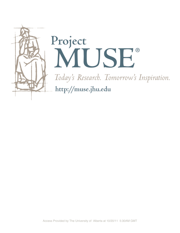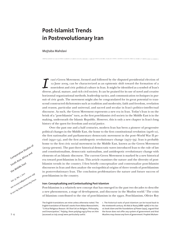# **Post-Islamist Trends In Postrevolutionary Iran**

Mojtaba Mahdavi

ran's Green Movement, formed and followed by the disputed presidential election of 12 June 2009, can be characterized as an epistemic shift toward the formation of a nonviolent and civic political culture in Iran. It might be identified as a symbol of Iran's diverse, plural, mature, and rich civil society. It can be praised for its use of novel and creative horizontal organizational methods, leadership tactics, and communication techniques in pursuit of civic goals. The movement might also be congratulated for its great potential to transcend constructed dichotomies such as tradition and modernity, faith and freedom, revelation and reason, particular and universal, and sacred and secular in Iran's politico-intellectual discourse. As such, the Green Movement represents a new era in Iran. Today's Iran is on the brink of a "post-Islamist" turn, as the first post-Islamist civil society in the Middle East is in the making, underneath the Islamic Republic. However, this is only a new chapter in Iran's long history of the quest for freedom and social justice.

Over the past one and a half centuries, modern Iran has been a pioneer of progressive political changes in the Middle East, the home to the first constitutional revolution (1906–11), the first nationalist and parliamentary democratic movement in the post–World War II period (1950–53), and the first antidespotic revolutionary change (1977–79). Iran is probably home to the first civic social movement in the Middle East, known as the Green Movement (2009–present). The past three historical democratic waves introduced Iran to the rule of law and constitutionalism, democratic nationalism, and antidespotic revolutionary change with elements of an Islamic discourse. The current Green Movement is marked by a new historical era toward post-Islamism in Iran. This article examines the nature and the diversity of post-Islamist trends in the country. I first briefly conceptualize and contextualize post-Islamist discourses in Iran and then analyze the sociopolitical origins of three trends of post-Islamism in postrevolutionary Iran. The conclusion problematizes the nature and future success of post-Islamism in the country.

## **Iran: Conceptualizing and Contextualizing Post-Islamism**

Post-Islamism is a relatively new concept that has emerged in the past two decades to describe a new phenomenon, a stage of development, and discourse in the Muslim world.<sup>1</sup> The crisis of Islamism contributed to the rise of post-Islamism in the 1990s. Post-Islamism, Olivier Roy

The English translations are mine unless otherwise noted. The English translation of Shariati's works from Abbas Manoochehri, "Critical Religious Reason: Ali Shari'ati on Religion, Philosophy, and Emancipation," Polylog, them.polylog.org/4/fma-en.htm (accessed 20 July 2009) were particularly useful.

1. The historical roots of post-Islamism can be traced back to the nineteenth century. Ali Abd al-Raziq (1888-1966) in his classic book *Islam and the Foundations of Power* (1925), argued that the Koran does not offer any system of government and that Muslims may choose any form of government. Prophet Muham-

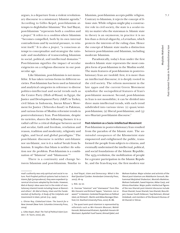argues, is a departure from a violent revolutionary discourse to a missionary Islamist agenda.2 According to Gilles Kepel, post-Islamism attempts to deglobalize Islamism.3 For Asef Bayat, post-Islamism "represents both a *condition* and a *project*." It refers to a *condition* where Islamism "becomes compelled, both by its own internal contradictions and by societal pressure, to reinvent itself." It is also a *project*, "a conscious attempt to conceptualize and strategize the rationale and modalities of transcending Islamism in social, political, and intellectual domains."4 Post-Islamism signifies the impact of secular exigencies on a religious discourse in our postsecular age.

Like Islamism, post-Islamism is not monolithic. It has taken various forms in different societies. Post-Islamism has been used as historical and analytical categories in reference to diverse politico-intellectual and social trends such as the Centre Party (Hizb al-Wasat) in Egypt, the Justice and Development Party (AKP) in Turkey, civil Islam in Indonesia, Imran Khan's Movement for Justice (Tehreek-e-Insaf) in Pakistan, and various forms of Muslim reformist trends in postrevolutionary Iran. Post-Islamism, despite its varieties, shares the following themes: it is a radial call for a critical dialogue between sacred and secular, faith and freedom, revelation and reason, tradition and modernity, religiosity and rights, and local and global paradigms.5 The post-Islamic discourse is neither anti-Islamic nor un-Islamic, nor is it a *radical* break from Islamism. It implies that Islam is neither *the* solution nor *the* problem. Post-Islamism is a combination of "Islam*ism*" and "Islam*wasm*."6

There is a continuity and change between Islamism and post-Islamism. Similar to Islamism, post-Islamism accepts public religion. Contrary to Islamism, it rejects the concept of *Islamic state*. While religion might play a constructive role in civil society, the state is a *secular* entity no matter who the statesman is. Islamic state in theory is an oxymoron; in practice it is no less than a clerical oligarchy, a Leviathan, which protects the interests of the ruling class. Hence the concept of Islamic state marks a distinction between post-Islamism and Islamism, including moderate Islamism.

Paradoxically, today's Iran under the first modern Islamic state represents the most complex form of post-Islamism in the Muslim world. The main features of post-Islamism in postrevolutionary Iran are twofold: first, it is more than an intellectual discourse; it is deeply rooted in the civil society. The reform movement in the late 1990s and the current Green Movement symbolize the sociopolitical features of Iran's post-Islamist *movement*. Second, post-Islamism in Iran is not monolithic; it can be divided into three main intellectual trends, with each trend subdivided into various views: (1) quasi/semipost-Islamism; (2) liberal post-Islamism; and (3) neo-Shariati post-Islamist discourse.7

# **Post-Islamism as a Socio-intellectual Movement**

Post-Islamism in postrevolutionary Iran resulted from the paradox of the Islamic state. The *unintended consequences* of the Khomeinist state empowered and enlightened the public, transformed the people from subjects to citizens, and eventually undermined the intellectual, political, and social foundations of the Islamic Republic. The 1979 revolution, the mobilization of people for a greater participation in the Islamic Republic, and the Iran-Iraq war, the first modern war

7. The quasi/semi-post-Islamism is represented by reformists such as Mir-Hossein Mousavi, Mehdi Karoubi, Mohammad Khatami, Ayatollah Hossein Ali Montazeri, Ayatollah Yusef Saanei, Ahmad Qabel, and

Mohsen Kadivar. Major scholars and activists of the liberal post-Islamism are Abdolkarim Soroush, Mohammad Mojtahed Shabestari, Mostafa Malekian, Mohsen Saidzadeh, Saeed Hajarian, Akbar Ganji, and Alireza Alavitabar. Major public intellectual figures of the neo-Shariati post-Islamist discourse include Ehsan Shariati, Susan Shariati, Sara Shariati, Reza Alijani, Hassan Yusefi-Eshkevari, Taqi Rahmani, Ahmad Zeidabadi, and members of the Research Bureau of Ali Shariati in Tehran.

Mojtaba Mahdavi

mad's authority was only spiritual and social in nature. Post-Prophet political systems had no basis in Islamic *fiqh* (jurisprudence); they were expedient tyrannical structures adopted by the Arabs. However, Abd al-Raziq's ideas were lost in the midst of revolutionary Islamist trends including Hasan al-Banna's and others'. Ali Abd al-Raziq, Islam and the Funda-*Mentals of Authority: A Study of the Caliphate and* Government in Islam, 3rd ed. (n.p., 1925).

<sup>2.</sup> Olivier Roy, Globalized Islam: The Search for a *New Ummah* (New York: Columbia University Press, 2004).

<sup>3.</sup> Gilles Kepel, Jihad: The Trail of Political Islam (London: I. B. Tauris, 2002), 362.

<sup>4.</sup> Asef Bayat, Islam and Democracy: What Is the *Real Question?* (Leiden: Amsterdam University Press, 2007), 18-19.

<sup>5.</sup> Ibid., 19-20.

<sup>6.</sup> I borrow "Islamism" and "Islamwasm" from Ziba Mir-Hosseini and Richard Tapper, "Islamism: ism or *Wasm?"* in *Islamism: Contested Perspectives on Political Islam*, ed. Richard C. Martin and Abbas Barzegar (Stanford, CA: Stanford University Press, 2010), 81-86.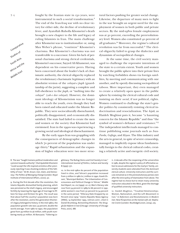Comparative  $\overline{\phantom{a}}$ Studies of sou and the South Asia, All die East

fought by the Iranian state in 150 years, were instrumental in such a social transformation.8 The end of the Iran-Iraq war with no clear victory for either side, the decline of revolutionary fever, and Ayatollah Ruholla Khomeini's death brought a new chapter to the life and legacy of ruling Islamists in Iran. The main challenge after Khomeini was to institutionalize or, using Max Weber's phrase, "routinize" Khomeini's charisma. But Khomeini's charisma was not transferable to a successor. Given his lack of personal charisma and strong clerical credentials, Khomeini's successor, Sayyed Ali Khamenei, was dependent on his conservative peers. Having been concerned about the leader's lack of charismatic authority, the clerical oligarchy replaced the revolutionary charismatic legitimacy with an absolutist version of the *velayat-e faqih* (guardianship of the jurist), suggesting a complete and full obedience to the *faqih*, or "melting into the *velayat*" (*zob-e dar velayat*). However, the dominant ideology of Khomeinism was no longer able to reach the youth, even though they had been raised and educated under the Islamic Republic. They were socioculturally disenchanted, politically disappointed, and economically dissatisfied. The state had failed to create the men and women or the society that Khomeini had envisioned. Iran in the 1990s was experiencing a growing social and ideological disenchantment.

By the early 1990s Iran was grappling with the consequences of demographic changes in which 70 percent of the population was under age thirty.<sup>9</sup> Rapid urbanization and the expansion of higher education were two more struc-

tural factors pushing for greater social change. Likewise, the departure of many men to fight in the war brought an urgent need for the employment of women in both public and private sectors. By the mid-1980s female employment was at 30 percent, exceeding the prerevolutionary level. Women also constituted 40 percent of all graduates.10 Moreover, the regime's cultural revolution was far from successful.<sup>11</sup> The clerical oligarchy failed to grasp the dialectics and dynamism of sociopolitical changes.

At the same time, the civil society managed to challenge the repressive intentions of the state to a certain extent. Youth and women brought the public sphere into their private lives by watching forbidden shows via foreign satellites, by meeting and communicating with one another, and by openly discussing sociopolitical taboos. More important, they even managed to create a relatively open space in the public sphere by resisting the clerical cultural code and insisting on their *social*, if not political, rights. Women continued to challenge the state's gender politics by consistently resisting clerical indoctrination and resocialization. The *hijab*, as Haideh Moghissi puts it, became "a haunting concern for the Islamic Republic" and thus "the symbol of women's defiance and resistance."12 The independent intellectuals managed to continue publishing some journals such as *Iran-Farda*, *Goftego*, and *Kiyan*. The film industry and the arts in general, in spite of severe censorship, managed to implicitly expose ideas fundamentally foreign to the clerical cultural codes, creating a relatively active and energetic civil society.

8. The war "taught Iranians political moderation and cynicism towards authority"; that Ayatollah Khomeini "could accept the UN-inspired armistice after previously rejecting it was shocking evidence of the fallibility of man." Ali M. Ansari, Iran, Islam, and Democracy: The Politics of Managing Change (London: Royal Institute of International Affairs, 2000), 50.

9. During the first decade after the revolution, the Islamic Republic dismantled family planning, which was perceived as the shah's legacy, and encouraged fertility by lowering the legal age of marriage to fifteen for boys and thirteen for girls. The result was that about half the country's population was born after the revolution, and to this generation Khomeini's legacy belonged to history. In the mid-1980s, the population growth rate was 3.9 percent, double the world average. From 1980 to 1990, the population grew from 39 million to 56 million, with youth numbering nearly 30 million. Ali Banuazizi, "Faltering Legitimacy: The Ruling Clerics and Civil Society in Iran," International Journal of Politics, Culture and Society 8 (1995): 571.

10. In the mid-1980s 60 percent of the population lived in cities, and Tehran's population increased from 5 million in 1980 to 7 million in 1990. Kaveh Ehsani, "Municipal Matters: The Urbanization of Consciousness and Political Change in Tehran," Middle East Report, no. 212 (1999): 22-27. Men's literacy rate rose from 54 percent in 1989 to 66 percent in 1991, while women's rose from 30 percent to 54 percent in the same period. "Illiteracy Rate Dropped by 20 Percent since 1979," Islamic Republic News Agency (IRNA), 14 September 1993, netiran.com/, cited in Daniel Brumberg, Reinventing Khomeini: The Struggle for Reform in Iran (Chicago: University of Chicago Press, 2001), 188.

11. A decade after the reopening of the universities in 1982, despite the regime's policy of affirmative action to secure admissions for the martyrs' family, university students were alienated from the dominant clerical culture. University instructors and the curricula remained as in the prerevolutionary period, even after the strict policy of Islamization from above. The regime had no choice but to retain many university instructors educated in the West, given the shortage of qualified university instructors.

12. Haideh Moghissi, "Troubled Relationships: Women, Nationalism, and the Left Movement in Iran," in Reformers and Revolutionaries in Modern *Iran: New Perspectives on the Iranian Left, ed. Stepha*nie Cronin (London: RoutledgeCurzon, 2004), 225.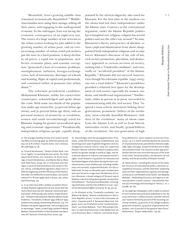Meanwhile, Iran's growing middle class remained economically dissatisfied.13 Middleclass families were using their savings, selling off their assets, and engaging in the underground economy. In the mid-1990s, Iran was facing the economic consequence of an eight-year war. The return of a huge number of war veterans to the urban centers looking for jobs added to the growing number of urban poor, and an everincreasing number of urban youth job-seekers put the state in a hard position. A sharp decline in oil prices, a rapid rise in population, ineffective economic plans, and systemic corruption "generated a host of economic problems: unemployment, inflation, foreign-exchange crises, lack of investments, shortages of schools and housing, flight of capital and professionals, and continued influx of peasants into urban slums."14

The reformist presidential candidate, Mohammad Khatami, unlike his conservative counterpart, acknowledged and spoke about the crisis. With some two-thirds of the population under age twenty-five, 50 percent below age twenty, and 70 percent below age thirty, with no personal memory of monarchy or revolution, women and youth overwhelmingly voted for Khatami, hoping for greater sociocultural opening and economic opportunity.15 Paradoxically, independent religious people, equally disap-

13. The average monthly income of an Iranian family was R620,000 during 1996-97, while the poverty line was set at R1 million. Hossein Azimi, Iran-e Emrooz, AH 1378/1999, 15-28.

14. Ervand Abrahamian, "Empire Strikes Back: Iran in U.S. Sights," in *Inventing the Axis of Evil: The Truth* about North Korea, Iran, and Syria, ed. Bruce Cumings, Ervand Abrahamian, and Moshe Ma'oz (New York: New Press, 2004), 116-17. In the early and mid-1990s a series of demonstrations and unrest in Tehran, Shiraz, and Mashhad signaled a deep crisis in both the legitimacy and the efficiency of the Khomeinist state. On ineffective economic plans, see Iranian national TV, 18 June 1998, cited in Ansari, Iran, Islam, and Democracy, 174.

15. In an interview with a widely circulated reformist daily, Khatami argued that he was aware that the most critical issue was the "physical, mental and spiritual needs" of the young, who need to "enjoy the present." "Khatami Interviewed on Need to Address Youth Problems," Hamshahri, 6 March 1997, 8 March 1997, quoted in Brumberg, Reinventing Khomeini, 224. For Khatami, the youth segment was "not an enigma but an advantage." Salam, 27 April 1997, quoted in Mehdi Moslem, *Factional Politics in Post-Khomeini Iran* (Syracuse, NY: Syracuse University Press, 2002), 247.

pointed by the clerical oligarchy, also voted for Khatami. For the first time in the modern era the ulema had lost their independence under the Islamic state. Contrary to the conventional argument, under the Islamic Republic politics has triumphed over religion; religion has served politics and not the other way around.16 In sum, Khomeini's theory and practice of absolute *velayat-e faqih* and Islamization from above disappointed both independent religious and secular forces. Khatami's discourse of the rule of law, civil society promotion, pluralism, and democracy appealed to various sections of society, making him a "Cinderella candidate" and eventually an "accidental president" of the Islamic Republic.17 Khatami did not succeed, however, even though his reformist republic (1997–2005) was not a total failure.<sup>18</sup> Khatami's presidency provided a relatively free space for the development of civil society especially for women, students, and intellectual organizations.19 Intellectuals, either in person or in press, succeeded in communicating with the civil society. They "inspired a mass reform movement linking three generations; prominent 'fathers of the revolution,' most critically Ayatollah Montazeri; 'children of the revolution,' many of whom came from the Islamic Left as well as from liberalnationalist circles; and finally 'grandchildren of the revolution,' the new generation of high

16. Interestingly, even the young generation of bazaaris, unlike the formal bazaar establishment, was becoming more open to global integration and less antagonistic toward reform; they too supported Khatami. Women voted for Khatami to express their wishes for greater change in political, legal, and educational spheres to improve and expand women's rights. Given Khatami's reputation for tolerance and the limited degree of pluralism during his short ministerial tenure, some intellectuals, including middleclass civil servants, supported Khatami. For the intellectuals, he was an educated, open-minded cleric who was forced to resign from the Ministry of Culture. Moreover, a broad category of the poor saw in Khatami a desire to bring about greater social justice. Farhad Kazemi, "The Precarious Revolution: Unchanging Institutions and the Fate of Reform in Iran," Journal of International Affairs 57 (2003): 81-95, 90-91.

17. On Khatami as the "Cinderella candidate," see Mohsen M. Milani, "Reform and Resistance in the Islamic Republic of Iran," in *Iran at the Crossroads*, ed. John L. Esposito and R. K. Ramazani (New York: Palgrave, 2001), 29. On Khatami as the "accidental president," see Shaul Bakhash, "Iran's Remarkable Election," in *Islam and Democracy in the Middle East*, ed. Larry Diamond, Marc F. Plattner, and Daniel Brumberg (Baltimore: Johns Hopkins University Press, 2003), 119. It is worth mentioning that the outcome of all postrevolutionary presidential elections (1981, 1985, 1989, and 1993), except for the first one in 1980, was predetermined. The outcome of the 1997 presidential election was uncertain because of the level of the elites' factional politics, the dynamics of civil society, and the personality of Khatami himself.

18. Many factors, including the nature of the state, the structure of international politics, domestic sociopolitical structures, and the reformists' leadership style and their organizational capacity and ideological discourse contributed to this failure. See Mojtaba Mahdavi, "Rethinking Structure and Agency in Democratization: Iranian Lessons," International Journal of Criminology and Sociological Theory 1, no. 2  $(2008): 142 - 60.$ 

19. By 1998 740 newspapers with a daily circulation of one hundred thousand were published in Iran. By 2003 more than 2 million Iranians used the Internet and "women formed 63 percent of the incoming university students, 54 percent of all college students, 45 percent of doctors, 25 percent of government employees, and 13 percent of the general labor force." Abrahamian, "Empire Strikes Back," 135-36.

Mojtaba Mahdavi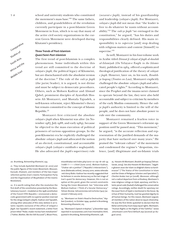

school and university students who constituted the movement's mass base."20 The same fathers, children, and grandchildren of the revolution currently participate in a post-Islamist Green Movement in Iran, which is to say that many of the active civil society organizations in the current Green Movement were developed during Khatami's presidency.

# **Three Trends of Post-Islamism Quasi/Semi-Post-Islamism**

The first trend of post-Islamism is a complex phenomenon. Some individuals within this trend are still committed to the doctrine of *velayat-e faqih*, the political legacy of Khomeini, but are disenchanted with the absolutist version of the doctrine.21 The rule of the *vali-ye faqih* (the jurist/leader), it is argued, is not divine and must be subject to democratic procedures. Others, such as Mohsen Kadivar and Ahmad Qabel, prominent disciples of Ayatollah Hossein Ali Montazeri, and Mustafa Tajzadeh, a well-known reformist, reject Khomeini's theory but remain committed to the concept of Islamic Republic.<sup>22</sup>

Montazeri first criticized the absolute *velayat-e faqih* when Khomeini was alive (in November 1987, July 1988, and early 1989), because he objected to the mass execution of political prisoners of various opposition groups. In the post-Khomeini era he explicitly challenged the absolute *velayat-e faqih* and advocated the notion of an elected, constitutional, and accountable *velayat-e faqih* (*velayat-e entekhabi-e moghayadeh*). He also advocated the *faqih*'s supervisory rule

(*nezarat-e faqih*), instead of his guardianship and leadership (*velayat-e faqih*). For Montazeri, *velayat-e faqih* did not mean that "the leader is free to do whatever he wants without accountability."23 The *vali-ye faqih* "we envisaged in the constitution," he argued, "has his duties and responsibilities clearly defined. His main responsibility is to *supervise* [and] stop dealing with religious matters and content [himself] to supervise."24

As well, Montazeri in his four-volume work in Arabic titled *Dirasat fi vilayat al faqih al-dawlah al-Islamiyah* (*On* Velayat-e Faqih *in the Islamic*  State), published in 1964, offered a sophisticated theological justification of the theory of *velayate faqih*. However, later on, in his work, *Resalehye hoqouq* (*Treaties on Law*), Montazeri explicitly challenged the absolute *velayat-e faqih* and advocated people's rights.25 According to Montazeri, since the Prophet and the imams never claimed to operate beyond the law, they were also held accountable and subject to criticism by members of the early Muslim community. Hence the *valiye faqih*'s authority is limited to the will of the people, and he does not have absolute power to rule over the community.

Montazeri remained a fearless voice in support of the Green Movement's reformist opposition until he passed away. "This movement," he argued, "is the accurate reflection and representation of the justified demands of the majority that have surfaced over many years." He praised the "tolerant culture" of the movement and condemned the regime's "despotism, violence, [and] illegitimate and un-Islamic trials

#### 20. Brumberg, Reinventing Khomeini, 234.

21. They include Ayatollah Montazeri (d. 2010) and the public figures of the Green Movement, Mousavi, Karoubi, Khatami, and members of the two major reformist parties (Iran's Islamic Participation Party and the Organization of Mujahideen of the Islamic Revolution).

22. It is worth noting that after the revolution the first draft of the constitution presented by the Revolutionary Council-modeled on the 1958 constitution of the French Fifth Republic-envisioned a democratic government with no superior position reserved for the clergy (velayat-e faqih). Kadivar and Tajzadeh, among other advocates of this view, believe in an Islamic republic exclusive of the office of *velayat-e* fagih. See Tajzadeh's recent statement, a letter from prison titled "Pedar, madar ma baz ham motahamim" ("Father, Mother, We Are Still Accused"), Mizan Press,

mizankhabar.net/index.php/2010-01-09-16-06-34 /1068-l---- r.html (June 2010). Mohsen Kadivar, "Chahar rah-e jomhori" ("Republic's Intersections"), Jaras (Rahesabz online), January 2010, www.rahesabz .net/story/8260. Kadivar has recently suggested that he believes in secular democracy as the last stage of Iran's quest for democracy. However, this is not an option at this point, given the current constraints facing the Green Movement. See "Interview with Mohsen Kadivar: I Think of a Secular Democracy," Tehran Review. tehranreview.net/articles/7425 (accessed 11 February 2011).

23. "Montazeri on State's Road to Destruction," Keyhan (London), 10 October 1994, quoted in Brumberg, Reinventing Khomeini, 215.

24. "Montazeri's Speech in Keyhan," 4 December 1997, reported in eurasianews.com/iran/montadres.html, quoted in Brumberg, Reinventing Khomeini, 238.

25. Hossein Ali Montazeri, Resaleh-ye hoqouq (Tehran: Saraie, 2004). See also Hossein Ali Montazeri, "Jaigahe ghanon asasi dar Islam va didghah olama va karshenasan" ("The Status of the Constitution in Islam and the Views of Religious Scholars and Specialists"), Cheshm Andaz Iran 50 (2008). Moreover, although not a radical departure from orthodoxy, Montazeri's new religious rulings on *hijab*, apostasy, and the Islamic penal code (hudud) challenged the conservative rulings. Accordingly, neither death for apostasy nor the exact form of *hijab* is mentioned in the Koran. By virtue of their humanity, God has granted dignity to all human beings. For this reason, Montazeri argued, all members of the nation deserve equal citizenship. He was the first Shiite ayatollah to declare that the Bahai community must enjoy equal rights. Montazeri, "Human Rights or the Rights of the Faithful," www .amontazeri.com/farsi/default.asp (accessd 30 August 2010).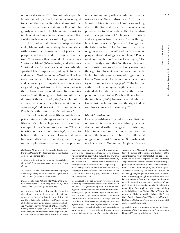of political activists."26 In his last public speech, Montazeri boldly argued that one is not obliged to defend the Islamic Republic at any cost; the survival of the Islamic state in itself is not religiously sanctioned. The Islamic state exists to implement and materialize Islamic values. If it violates such values it has lost its legitimacy.27

For Kadivar, Montazeri's outspoken disciple, Islamic rules must always be compatible with reason, the requirements of justice, the people's preference, and the exigencies of the time.28 Following this rationale, he challenges "historical Islam" (*Islam-e tarikhi*) and advocates "spiritual Islam" (*Islam-e manavi*).<sup>29</sup> Accordingly, spiritual Islam supports equal rights for men and women, Muslims and non-Muslims. The logical consequence of his reasoning is that Islam and democracy are compatible, whereas democracy and the guardianship of the jurist have neither religious nor rational bases. Kadivar cites various Shiite theological debates to nullify the dominant theory of *velayat-e faqih*. He boldly argues that Khomeini's political version of the *velayat-e faqih* did not exist in the Koran or in the Prophet's or the Shiite imam's traditions.<sup>30</sup>

Mir-Hossein Mousavi, Khomeini's favorite prime minister in the 1980s and an advocate of Khomeini's political legacy in 2010, is another example of quasi/semi-post-Islamism. While he is critical of the current *vali-ye faqih*, he tends to believe in the doctrine itself. However, Mousavi has gradually moved toward a greater recognition of pluralism, stressing that his position

26. Hossein Ali Montazeri, "Response to Questions on the Green Movement," 1 December 2009, khordaad88 .com/?p=8o9#more-8o9.

27. Montazeri's last public statement, Jaras (Rahesabz online), February 2010, www.rahesabz.net/story  $187751.$ 

28. Mohsen Kadivar, Noandishi-e dini va hoghoghe zanan (Religious Reformism and Women's Rights), www .kadivar.com/ (accessed 20 June 2008).

29. Mohsen Kadivar, As Islam-e tarikhi be Islam-e ma*navi* (From Historical Islam to Spiritual Islam), www .kadivar.com/ (accessed 3 August 2008).

30. He argues that the central question facing the clergy today is whether it can preserve its independence in the face of an Islamic state. It does not want to fall victim to the fate of the Marxist parties of the former communist states. See Mohsen Kadivar, Andisheh-ye siyasi dar Islam (Political Thought in Islam) (Tehran: Nay, 1998), vols. 1-2. Similarly, Mehdi Haeri-Yazdi, the respected son of the highly influential late Grand Ayatollah Abdul Karim Haeri-Yazdi,

is one among many other secular and Islamic voices in the Green Movement.<sup>31</sup> In one of Mousavi's latest statements, known as a working draft of the Green Movement's covenant, a semipost-Islamist trend is evident. He clearly advocates the separation of "religious institutions and clergymen from the state," even though he acknowledges the "presence" of religion in the future in Iran.<sup>32</sup> He "oppose[s] the use of religion as an instrument" and the "coercing of people into an ideology, sect or clique." People want nothing short of "national sovereignty." He also explicitly argues that "neither our laws nor our Constitution are eternal. Every nation has the right to reform its current laws." Similarly, Mehdi Karoubi, another symbolic figure of the Green Movement, clearly questions the authority of Khamenei as *vali-ye faqih*: "Why has the authority of the Velayat-e Faqih been so greatly extended? I doubt that so much authority and power were given to the Prophets themselves, or the infallible [Shi'a] Imams. I even doubt that God considers himself to have the right to deal with his servants in the same way."33

# Liberal Post-Islamism

Liberal post-Islamism includes diverse dissident religious intellectuals who gradually became disenchanted with ideological revolutionary Islam in general and the intellectual foundations of the Islamic state in Iran. The influential religious reformist Abdolkarim Soroush, leading liberal cleric Mohammad Mojtahed Shabe-

challenges the dominant version of the absolute ve*layat-e faqih.* "Governance [hokumat]," he argues, "is not more than deputyship [vekalat] and any time you feel that your deputy has committed treachery, you replace him. . . . The kind of true democratic Islamic government that I construe is deputyship.... After the Hijra of the Prophet from Mecca to Madina, the people of Madina 'elected' him as the head of the state." Hamshahri, 6 July 1995, quoted in Moslem, Factional Polities, 229.

31. Mousavi has issued eighteen statements since June 2009. His statements are available at khordaad 88.com/?cat=1 (accessed 29 June). It is worth noting that Zahra Rahnavard, Mousavi's wife and companion, also signals some changes in her position. She states that the Green Movement is indebted to the women's movement in Iran and praises the contribution of both secular and religious activists against unjust rules and regulations over the past three decades. See Zahrah Rahnavard, www.kaleme .com/1389/03/25/klm-22861; and www.kaleme .com/1389/04/06/klm-24194 (accessed 10 July 2010). 32. According to Mousavi, the people's resistance has torn "the curtain of hypocrisies and duplicity" of the current regime, which has "institutionalized corruption behind a pretense of piety." While Iran currently "experiences the greatest number of executions per population on the whole planet," the Green Movement "respects human dignity and human rights" and believes in equality before the law, "irrespective of ideology, religion, gender, ethnicity and social statutes." Interestingly enough, Mousavi borrows a secular tone and terms from an Iranian poet, Mohammad Reza Shafiei Kadkani, to express the depth of people's disappointment and demands: "A child by the name of joy / Eyes bright and glistening / Hair long as the heights of hope / Is lost of late / Whoever has news of her / Let us know / Here between the Persian Gulf / And the Caspian Sea." "Mir Hossein Mousavi's Eighteenth Statement," 15 June 2010, khordaad88 .com/?p=1691#more-1691.

33. Mehdi Karoubi, "Complete Statement for the Anniversary of the Green Movement," 10 June 2010, khordaad88.com/?p=1696#more-1696.

Mojtaba Mahdavi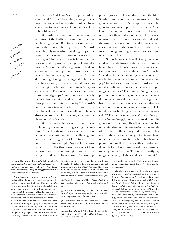stari, Mostafa Malekian, Saeed Hajarian, Akbar Ganji, and Alireza Alavi-Tabar, among others, posed serious and substantial philosophical challenges to the ideological foundations of the ruling Islamists.34

Soroush first served as Khomeini's representative at the Cultural Revolution Institute but he resigned in 1984. Given his close connection with the revolutionary Islamists, Soroush was relatively successful in making his journal *Kiyan* a platform for the future reformists in the late 1990s.<sup>35</sup> In his series of articles on the contraction and expansion of religious knowledge (*qabz va baste te'urik-e Shari'at*), Soroush laid out a foundation of an epistemic pluralism in the postrevolutionary religious discourse. Any understanding of religion, he argued, is humane and time-bound; it is neither sacred nor absolute. Religion is defined by its human "religious experience." For Soroush, clerics, like other "professional groups," hold a corporate identity, "a collective identity and shared interest," and thus possess no divine authority.36 Soroush's new theology (*kalam-e jadeed*) was in effect a theological challenge to the official religious discourse and the clerical class, meaning the theory of *velayat-e faqih*.

Soroush also challenged the notion of "religious government" by suggesting that anything "that has its own prior essence . . . can no longer be considered intrinsically religious, because one thing cannot have two intrinsic natures. . . . for example, 'water' has its own structure. . . . For this reason, we do not have religious water and non-religious water . . . or religious and non-religious wine. The same ap-

plies to justice . . . knowledge . . . and the like. Similarly, we cannot have an intrinsically religious government."37 Put simply, because religion and politics are positively correlated, "the least we can say in this respect is that religiosity or the lack thereof does not enter the essence of government. However, as an external reality, government is subordinated to society and constitutes one of its forms of organization. If a society is religious, its government too will take on a religious hue."38

Soroush made it clear that religion is not confined to its formal interpreters. Islam is larger than the ulema's clerical Islam and richer than the *fiqh*, or jurisprudence. For Soroush, "the idea of democratic religious government" would shift the center of power from the *velayat-e faqih* to civil society and would transform the religious oligarchy into a democratic, and yet religious, politics.39 For Soroush, "religious despotism is most intransigent because a religious despot views his rule as not only his right but his duty. Only a religious democracy that secures and shelters faith can be secure and sheltered from such self-righteous and anti-religious rule."40 Furthermore, in his *Loftier than Ideology* (*Farbehtar az ideoogy*), Soroush argued that religion is not an ideology. He offered a minimalist understanding of religion vis-à-vis a maximalist discourse of the ideologized religion. In his words, "the greatest pathology of religion I have noticed after the revolution is that it has become plump, even swollen. . . . It is neither possible nor desirable for religion, given its ultimate mission, to carry such a burden. This means purifying religion, making it lighter and more buoyant."41

34. For further information on Mostafa Malekian's WORKS SEE HIS *2AHIBE2AHAEI'OFTOGOHAEIARBAREYE* aghlaniyat va manaviyat (A Path to Freedom: Reflections on Rationality and Spirituality) (Tehran: Nashre Negahe Moaser, AH 1380/2001).

35. Soroush was born in 1945 in southern Tehran, studied at the Islamic Alavi school, and pursued the study of Islamic law after he met Khomeini in 1963. He received a master's degree in analytical chemistry and a doctoral degree in history and philosophy of science at the University of London and returned to Iran after the revolution. After the closure of the universities Soroush was appointed by Khomeini to the Cultural Revolution Institute. The so-called cultural revolution sought to purge the dissident scholars and revise the university curriculum. Paradoxically, however, Soroush, who defended the notion of an "open society" against communism, was involved, in one way or another, in the cultural revolution. Yet

he claims that he was only a member of the Advisory Council of the Cultural Revolution, whose "main task was reopening universities." Mahmoud Sadri and Ahmad Sadri, eds. and trans., Reason, Freedom, and **Democracy in Islam: Essential Writings of Abdolkarim** *Soroush* (Oxford: Oxford University Press, 2000), 12.

36. "Soroush on Freedom of Clergy," Kiyan, April-May 1995, quoted in Brumberg, Reinventing Khomeini, 205

37. Soroush, "On Meaning and Foundation of Secularism," Kiyan, August-September 1995, quoted in Brumberg, Reinventing Khomeini, 209.

38. Abdolkarim Soroush, "The Sense and Essence of Secularism," in Sadri and Sadri, Reason, Freedom, and Democracy, 61.

39. Abdolkarim Soroush, "The Idea of Democratic Religious Government," in Sadri and Sadri, Reason, Freedom. and Democracy. 127-28.

40. Abdolkarim Soroush, "Tolerance and Governance," in Sadri and Sadri, Reason, Freedom, and De-*MOCRACY* 

41. Abdolkarim Soroush, "Intellectual Autobiography: An Interview," in Sadri and Sadri, Reason, Freedom, and Democracy, 21. For further study, see Abdolkarim Soroush, *Mudara va mudiriyat* (Tolerance and Administration) (Tehran: Serat, 1997); Soroush, Bast-e tajrubeh-e nabavi (Expansion of Prophetic Experience) (Tehran: Serat, 1999); Soroush, "Qara'at-e fashisti az din" ("The Fascist Reading of Religion"), in *2AWSHANFEKRIVADINDARI)NTELLECTUALISMAND2ELIGIOS*  ity) (Tehran: Serat, 1997); and Soroush, "Religious Discourses in Contemporary Iran," in A'in-e shahriyari va *dindari* (The Etiquette of Ruling and Religiosity) (Tehran: Serat, 2000). See also Forough Jahanbakhsh, "Religious and Political Discourse in Iran: Moving toward Post-fundamentalism," Brown Journal of World *Affairs* 9 (2003): 243-54.

Comparative

Studies of

South Asia,

sou and the

All die East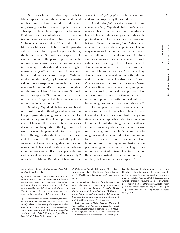Soroush's liberal Rawlsian approach to Islam implies that both the meaning and social implications of religion should be understood only through the free exercise of public reason. This approach can be interpreted in two ways. First, Soroush does not advocate the privatization of Islam, as is evident in his theory of the "religious democratic state."42 Second, in fact, like other liberals, he believes in the privatization of Islam. In the past few years, echoing the liberal theory, Soroush more explicitly relegated religion to the private sphere. As such, religion is understood as a personal interpretation of spirituality devoid of a meaningful constructive *political* dimension. He has even humanized and secularized Prophet Muhammad's revelation (*vahy*) by linking it to a mystical and poetic inspiration. As such, the Koran contains Muhammad's feelings and thoughts, not the words of God.<sup>43</sup> Furthermore, Soroush in his 2005 speech "Shiism and the Challenge of Democracy" argues that Shiite messianism is not conducive to democracy.44

Similarly, Mojtahed Shabestari is a liberal reformist trained in theology and Western philosophy, particularly religious hermeneutics. He examines the possibility of multiple understandings of Islam and the rationalization of religious discourse, and he questions the legitimacy and usefulness of the jurisprudential reading of Islam. He argues that the idea that the Koran and the Sunna are the sources of all legal and sociopolitical systems among Muslims does not correspond to historical reality because such systems have constantly reflected the particular sociohistorical contexts of each Muslim society.45 As such, the Islamic Republic of Iran and the

concept of *velayat-e faqih* are political exercises and are not inspired by the sacred text.

Unlike the *fiqh*-based reading of Islam (*Islam-e feqahati*), Mojtahed Shabestari's hermeneutical, historicist, and rationalist reading of Islam believes in democracy as the only viable political system. He makes a clear distinction between "Islamic democracy" and "Muslim democracy." A democratic interpretation of Islam may concur with democracy, yet democracy is never built on the principles of Islam. Muslims can be democrats; they can also come up with a democratic reading of Islam. However, such democratic versions of Islam do not make their state an Islamic democracy. Muslims ruling democratically become democrats; they do not make the state Islamic. For this reason, *Muslim democracy* is a more appropriate term than *Islamic democracy*. Democracy is about power, and power remains a worldly political concept. Islam, like other religions, recognizes this same secular, not sacred, power on earth. Political authority has no religious essence, Islamic or otherwise.<sup>46</sup>

Liberal post-Islamists, in sum, argue that religious knowledge is a branch of human knowledge; it is culturally and historically contingent and corresponds to other forms of secular human knowledge. Religion and the Sharia are silent; social agents and social contexts give voices to religious texts. One's commitment to religion should be measured by its commitment to the intrinsic, core, and transcendent of religion, not to the contingent and historical aspects of religion. Islam is not an ideology; it does not offer a particular form of political system. Religion is a spiritual experience and mostly, if not fully, belongs to the private sphere.<sup>47</sup>

42. Abdolkarim Soroush, Loftier than Ideology (Tehran: Serat, 1994), 217-83.

43. Michel Hoebink, "The Word of Mohammad," an interview with Soroush, www.drsoroush.com/ English/Interviews/E-INT-The%20Word%20of%20 Mohammad.html.44. Abdolkarim Soroush, "Democracy and Rationality," interview with Soroush by Sharah newspaper, December 2003, www.drsoroush .com/English/Interviews/E-INT-20031200-1.htm

45. See Mohammad Mojtahed Shabestari, Hermenutik, kitab va Sunnat (Hermeneutics, the Book and Tradition) (Tehran: Tarh-e Naw, 1996); Mojtahed Shabestari, *Iman va Azadi* (Faith and Freedom) (Tehran: Tarh-e Naw, 1997); Mojtahed Shabestari, Naqdi bar qara'at-e rasmi-e din (A Critique of the Official Reading of Islam) (Tehran: Tarh-e Naw, 2000).

46. Mohammad Mojtahed Shabestari, "Rah-e doshvar-e mardom-salari" ("The Difficult Path to Democracy"), Aftab (Tehran), Bahman AH 1381/January 2001,  $30 - 37$ 

47. For an excellent collection of the debates on Islamic tradition and secularism among the Muslim reformists, see Serat, ed., Sunna and Secularism: Works of A. Soroush, M. Mojtahed-Shabestari, M. Malekian, and M. Kadivar (Sunnat va secularism: Goftarhaei as A. Soroush, M. Mojtahed-Shabestari, M. Malekian, and *M. Kadivar*) (Tehran: Serat, AH 1381/2002).

Individuals such as Mehdi Bazargan, Mahmoud Taleqani, Habibollah Peyman, and Ezzatollah Sahabi and intellectual trends such as Iran's Freedom Movement, the journal Iran-e Farda, and the coalition of Melli-Mazhabi are much closer to neo-Shariati post-

Islamist discourse than to semi-post-Islamists and liberal post-Islamists. However, they are not formally part of this trend. See, for example, the recent statement of Abdolali Bazargan, Mehdi Bazargan's son, where he challenges Kadivar's argument on Khomeini's legacy in the Green Movement. Abdolali Bazargan, mizankhabar.net/index.php/2010-01-09-16 -05-16/1167-1389-04-08-16-33-28.html (accessed 10 July 2010).

Mojtaba Mahdavi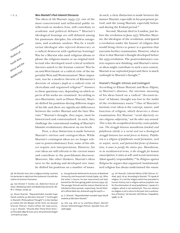$102$ 

Comparative

studies of

South Asia,

All die East

sou and the

 $\overline{\phantom{a}}$ 

#### *Neo-Shariati's Post-Islamist Discourse*

The ideas of Ali Shariati (1933–77), one of the most controversial and influential public intellectuals in modern Iran, still contribute to academic and political debates.<sup>48</sup> Shariati's ideological leanings are still debated among his passionate disciples, his relentless antagonists, and academic analysts. Was he a totalitarian ideologue who rejected democracy or a radical democrat with egalitarian leanings? Was he a Marxist who used religious idioms to please the religious masses or an original intellectual who developed novel critical synthetic theories suited to the Iranian context? Was he an anti-West fanatic or a radical critic of the imperialist West and Westernization? More important, was he a modern theorist of Khomeini's doctrine of *velayat-e faqih* or a radical critic of clericalism and organized religion?49 Answers to these questions vary, depending on which aspects of his works are examined. According to neo-Shariatists, such as Ehsan Shariati, Shariati shifted his positions during different stages of his life and there are significant differences between the earlier Shariati and the later Shariati.50 Shariati's thought, they argue, must be historicized and contextualized. As such, they challenge the conventional reading of Shariati's Islamist revolutionary discourse on two levels.

First, a clear distinction is made between Shariati's *intrinsic* and *contingent* ideas. While Shariati's contingent ideas are no longer relevant to postrevolutionary Iran, some of his others require new interpretations. However, his core ideas are still relevant to the current issues and contribute to the post-Islamist discourse. Moreover, like other thinkers, Shariati's ideas were in the making and developed over time; he shifted his positions on a number of issues.

As such, a clear distinction is made between the mature Shariati, especially in his post-prison period, and the young Shariati, especially before and during the Ershad period.<sup>51</sup>

Second, Shariati died in London, just before the revolution in June 1977. Whether Shariati, the ideologue of the revolution, anticipated a revolution under the banner of religion that would bring clerics to power is a question that warrants further examination. However, what is clear is that Shariati's thought developed before the 1979 revolution. The postrevolutionary context requires new thinking, and Shariati's *intrinsic* ideas might contribute to such a new context. Shariati is an *unfinished project* and there is much *unthought* in Shariati's thought.<sup>52</sup>

## Shariati's Thought: Intrinsic and Contingent

According to Ehsan Shariati and Reza Alijani, in Shariati's absence, the intrinsic meaning of his ideas based on a radical "deconstruction" of Islamic thought was lost in the midst of the revolutionary waves.53 One of Shariati's intrinsic/core ideas is the concept, nature, and function of religion, which deserves a closer examination. For Shariati, "*social objectivity creates religious subjectivity," not the other way around. This is how the sociopolitical hierarchy creates polytheism. The struggle between monotheism (towhid) and polytheism (shirk) is a social and not a theological struggle between two social forces in history. Polytheism is a religion of polytheistic social formation, such as unjust, racist, and patriarchal forms of domination; it aims to justify the status quo. Monotheism, in its sociohistorical terms, is the struggle for human emancipation*; it aims at self- and social awareness (*khod agaahi*)/responsibility.54 In *Religion against Religion* he argues that organized/institutionalized religion has always undermined the eman-

48. Ali Shariati, born into a religious family, received his doctorate in 1963 from the Sorbonne's Faculté des Lettres et Sciences Humaines.

49. See Shireen T. Hunter, ed., Reformist Voices of *Islam: Mediating Islam and Modernity (Armonk, NY:* M. E. Sharpe, 2009), 50.

50. Ehsan Shariati, "Nayandishideh mandeh haye falsafi andishe ye Mo'alem Shariati" ("Unthought in Shariati's Philosophical Thought"), in *Dar hashiye ye matan* (On the Margin of the Text), ed. Bonyad Shariati (Tehran: Shahre Aftab, AH 1379/2000), 7-35; E. Shariati, "Shariati after Thirty-three Years," 30 Khurdad 1389/18 June 2010, ehsanshariati.blogfa .com/post-42.aspx.

51. Young Shariati delivered his lectures at Mashhad University and Hosseinieh Ershad (1969-73). After the latter's closure, he was imprisoned and later banned for life from giving public lectures (1973-77). The younger Shariati and the mature Shariati are attributed to these periods, respectively. See Ali Shariati's official Web site, drshariati.org/list.asp?G=1.

52. E. Shariati, "Nayandishideh mandeh haye falsafi andishe ye Mo'alem Shariati."

53. See, e.g., ibid. 9-13; and Reza Alijani, Shariati shenasi (Shariatiology) (Tehran: Qasideh Sara, AH 1376/1996).

54. Ali Shariati, Collected Works (CW) (Tehran: Ershad, 1971), 16:30. According to Shariati: "If I speak of religion, it is not the religion which has prevailed in human history, but a religion whose prophets rose for the elimination of *social* polytheism. I speak of a religion, which is not realized yet. Thus our reliance on religion is not a return to the past, but a continuation of history." Ali Shariati, CW (Tehran: Chapakhsh, 1998), 22:18.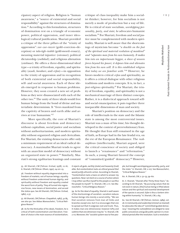cipatory aspect of religion. Religion is "human awareness," a "source of existential and social responsibility" against the structures of domination.55 According to this formulation, structures of domination rest on a triangle of economic power, political oppression, and inner ideological/cultural justification. Shariati provided a critique of the three pillars of the "trinity of oppression": z*ar–zur–tazvir* (gold–coercion–deception) or *tala*-*tigh–tasbih* (gold-sword–rosary), meaning material injustice (*estesmar*); political dictatorship (*esetbdad*); and religious alienation (estehmar). He offers a three-dimensional ideal type—a trinity of freedom, equality, and spirituality (*azadi*, *barabari*, and *erfan*)—in opposition to the trinity of oppression and in recognition of both existential and social responsibility, self- and social awareness. Each of these ideals emerged in response to human problems. However, they soon created a new set of problems as they were disassociated with each of the other two.56 The unity of three ideals would free human beings from the bond of divine and materialistic determinism. It "frees mankind from the captivity of heaven and earth alike and arrives at true humanism."57

More specifically, the core of Shariati's discourse is about freedom and democracy without capitalism, social justice and socialism without authoritarianism, and modern spirituality without organized religion and clericalism. For Shariati, the existing democracies offer only a minimum requirement of an ideal radical democracy. A maximalist Shariati tends to agree with an anarchist model of democracy without an organized state in power.58 Similarly, Shariati's strong egalitarian leanings and constant

critique of class inequality make him a socialist thinker; however, for him socialism is not merely a mode of production but a way of life. He is critical of state socialism, *worshipping personality, party, and state; he* advocates humanist socialism.59 For Shariati, freedom and social justice must be complemented with modern spirituality. Shariati is well aware that the shortcomings of mysticism become "*a shackle on the foot of the spiritual and material evolution of mankind" and "separates man from his own humanity. It makes him into an importunate beggar, a slave of unseen forces beyond his power; it deposes him and alienates him from his own will. It is this established religion that today we are familiar with.*"60 However, he favors modern critical *erfan* and spirituality, as it offers a critical dialogue with other religious traditions and modern concepts. It is, in fact, a *post-religious spirituality*. 61 For Shariati, the trinity of freedom, equality, and spirituality is not a mechanical marriage of three distinct concepts. Rather, it is a dialectical approach toward selfand social emancipation; it puts together three inseparable dimensions of man and society.

Shariati's position on democracy and the role of intellectuals in the state and the Islamic state is among the most controversial issues. Shariati was a man of his time; his thought developed in the context of prerevolutionary Iran. He thought that Iran still remained in the age of faith, as Europe had in the late feudal era, on the eve of the European Renaissance. The *rushanfekran* (intellectuals), Shariati argued, were the critical conscience of society and obliged to launch a "renaissance" and "reformation." As such, a young Shariati favored the concept of "committed/guided" democracy.62 However,

55. Ali Shariati, CW (Tehran: Ershad, 1978), 12:16; A. Shariati, *CW* (Tehran: Elham, 1991), 24:221-23.

57. Ali Shariati, CW (Tehran: Chapakhsh, 1987), 32:85, see also 90. See Abbas Manoochehri, "Critical Religious Reason."

58. As for the third pillar of his ideals, freedom, he is critical of both existentialism and liberalism. Freedom of choice is the main essence of existentialism;

it rejects all gods, earthly (state) and heavenly (God) alike. But existentialism lacks an ethical ground that *would justify altruistic action*. According to Shariati, "Existentialism lacks a basis on which to answer my questions. Now I am bent on a course of action where I may either sacrifice myself to the people or sacrifice the people to myself." A. Shariati, CW, 2:111. See Manoochehri, "Critical Religious Reason."

59. As for the ideal of equality, Shariati is well aware of the shortcomings of socialism: socialism reduces human beings into merely a social entity. "We see that socialism removes from man all limbs and branches except one; but it so encourages that one to spread out that it outgrows root and trunk. Thus, it makes man one-dimensional, however lofty and sublime that one dimension may be." A. Shariati, CW, 2:117. Moreover, the "socialist system was to free peo-

ple, but brought worshipping personality, party, and the state." A. Shariati, CW, 2:107. See Manoochehri, "Critical Religious Reason."

60. A. Shariati, CW, 2: 52-53, 59-60.

61. E. Shariati, "Shariati after Thirty-three Years." According to Ali Shariati, "By pursuing values that do not exist in nature, [the] human being is lifted above nature and the spiritual and essential development of the species is secured. *Erfan* is thus a lantern shining within humanity." A. Shariati, CW, 2:64.

62. See Ali Shariati, CW (Tehran: Azmon, 1989), vol. 26. In *Community and Leadership* (Ummat va imamat) he advocates the idea of "committed/guided democracy," meaning the rushanfekran are obliged to raise public consciences and guide public opinion in a transitional period after the revolution. Such a revolution-

Mojtaba Mahdavi

<sup>56.</sup> Freedom without equality degenerated into a freedom of markets, not of human beings; equality without freedom undermined human dignity; and spirituality without freedom and equality created the worst form of polity. They all turned into regressive forces, new means of domination, and served the status quo. See Ali Shariati, CW (Tehran: Ershad, 1982), 2:37.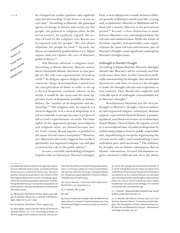

he changed his earlier position and explicitly rejected dictatorship of any form or of any social class.63 According to Shariati, the principal agents of change in history and society are the people, not political or religious elites. In the social context, he explicitly argued, the notion of God in the religious text/Koran can be equated with the people: "We can always substitute the people for God."64 As such, the theory of committed/guided democracy, Alijani argues, does not capture the core of Shariati's political theory.65

Did Shariati advocate a religious state? According to Ehsan Shariati, Shariati articulated a humanist Islamic discourse in that people are the only true representative of God on earth.66 In *Religion against Religion* Shariati accused the clergy of monopolistic control over the interpretation of Islam in order to set up a clerical despotism (*estebdade ruhani*); in his words, it would be the worst and the most oppressive form of despotism possible in human history, the "mother of all despotism and dictatorship."67 The religious state, he argued, is a clerical oligarchy. It is a clerical despotism. It is not accountable to people because it projects itself as God's representative on earth. The basic rights of the opposition groups, nonreligious and religious other, are denied because they are God's enemy. Brutal injustice is justified in the name of God's mercy and justice.<sup>68</sup> However, neo-Shariatisti discourse suggests that modern spirituality, not organized religion, can still play a constructive role in the public sphere.<sup>69</sup>

In sum, a scientific methodology of inquiry requires that we historicize Shariati's thought.

First, a clear distinction is made between different periods of Shariati's intellectual life: a young and revolutionary Shariati in Mashhad and Ershad and a mature Shariati in his post-prison period.70 Second, a clear distinction is made between Shariati's core and marginal ideas, his relevant and outdated ideas. While the trinity of freedom, equality, and spirituality, some argue, remains the most relevant and intrinsic part of Shariati's thought, some significant *unthought* in Shariati's thought exists.

# Unthought in Shariati's Thought

According to Ehsan Shariati, Shariati's disciples should take Shariati's advice seriously and love truth more than their teacher. Instead of artificially systematizing his thought, they should first deconstruct and then reconstruct his thought to make his thought relevant and responsive to new contexts. They should also explicitly and critically speak of *unthoughts* (*nayandishideh ha*) in Shariati's thought.<sup>71</sup>

Revolutionary Islamism was the first unthought in Shariati's thought. Clerical authority and organized religion (*ruhaniyyat*), Shariati argued, represented Safavid Shiism: a passive, apolitical, and distorted version of revolutionary Alavid Shiism. Clerical Islam, he argued, served as a sociocultural base of political despotism by withdrawing religion from its public responsibilities, depoliticizing it except for legitimizing the current social order, and transforming it into individual piety and asceticism.72 The solution, he thought, was an Islamic reformation. But an Islamic reformation, Ervand Abrahamian argues, remained a difficult task, since the ulema

63. Ali Shariati, CW (Tehran: Ershad, 1979), 4:257, 258, 342; A. Shariati, CW, 26:500; A. Shariati, CW (Tehran: Agah, 1983), vol. 33, pt. 1:1274.

64. Ali Shariati, CW (Tehran: Elham, 1994), 3:153.

65. Reza Alijani, *Inquiry into the Theory of* Ummat va imamat (Tehran, n.p., n.d.). According to Alijani, on the first page of the *Ummat va imamat*, Shariati admits that the theory of committed/guided democracy is a new idea subject to critical examinations. See also the collection of essays in Bonyad Shariati, ed., *Ghoghnoos usyan* (Rebellion Phoenix) (Tehran: Ghasideh Sara, AH 1381/2002).

66. Ehsan Shariati, "Interview with Shahrvand," *Sharhvand* 12, no. 714 (2002), 3-5.

67. A. Shariati, CW, 22:206.

69. Ehsan Shariati, for example, refers to Mohammad Iqbal Lahouri's concept of "spiritual democracy." See ehsanshariati.blogfa.com/post-42.aspx (accessed 30 July 2010).

70. As for the young and revolutionary Shariati, it is worth noting that even his ideas during his time at Mashhad University and Hosseinieh Ershad were not identical. As for a mature Shariati, his new ideas were developed before and during his imprisonment (after the closure of the Ershad) but were clearly manifested in his post-prison writings. For research on Shariati's life, see drshariati.org.

71. E. Shariati, "Nayandishideh mandeh haye falsafi andishe ye Mo'alem Shariati," 31.

72. A. Shariati, CW (Tehran: Ershad, 1971), 9:111. See Behrooz Ghamari-Tabrizi, "Contentious Public Religion: Two Conceptions of Islam in Revolutionary Iran, Ali Shari'ati and Abdolkarim Soroush," International *Sociology* 19 (2004): 504-23.

ary leadership would transform the ignorant masses (ra's) to informed citizens (ra'y), a procedural formal democracy to a substantial democracy. Shariati's position should be examined in the context of the Non-Aligned Movement summit in Bandung, 1954), where the revolutionary leaders advocated "committed/guided democracy" to stop the manipulation of public opinion in the electoral process in postcolonial new democracies.

<sup>68.</sup> Ibid.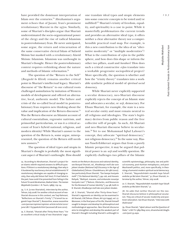have provided the dominant interpretation of Islam over the centuries.73 Abrahamian's argument echoes that of Jazani, Iran's prominent revolutionary Marxist in the 1970s. Similarly, some of Shariati's disciples argue that Shariati underestimated the socio-organizational power of the clergy and the rise of radical Islamism in postrevolutionary Iran. He never anticipated, some argue, the return and reincarnation of the same conservative clerical Islam of Safavid Shiism but masked with a revolutionary Alavid Shiism: Islamism. Islamism was unthought in Shariati's thought. Hence the postrevolutionary context requires rethinking about the nature and methods of Islamic reformation.74

The question of the "Return to the Self" (*Bazgasht be Khish*) remains another critical point in Shariati's intellectual legacy. Shariati's discourse of "the Return" to our cultural roots challenged assimilation by imitation of Western models of development and offered an alternative, local, authentic model. The failure and crisis of the so-called local model in postrevolutionary Iran requires new thinking about the value and implication of the Return discourse.75 Was the Return discourse an Islamist account of cultural essentialism, regressive nativism, and primordial particularism, or was it a critical account of Iran's hybrid national, religious, and modern identity? While Shariati's answer to the question of the Return is, some argue, misrepresented, the question of the Return still needs new answers.76

The question of ideal types and utopia in Shariati's thought is probably the most significant aspect of Shariati's unthought. How should one translate ideal types and utopic elements into some concrete concepts to be tested and/or nullified?77 Shariati's trinity of freedom, equality, and spirituality is a case in point. While it masterfully problematizes the current trends and provides an alternative ideal type, it offers neither a clear alternative theory nor a comprehensible practical road map. For example, is this a new contribution to the idea of an "alternative modernity" or "multiple modernities"? What is the contribution of *erfan* in the public sphere, and how does this shape or inform the other two pillars, *azadi* and *barabari*? How does such a critical constructive *erfan* translate into a workable progressive sociopolitical project? More specifically, the question is whether and how the "trinity theory" translates into a workable synthetic political model of *spiritual social democracy*.

While Shariati never explicitly supported a secular democracy, neo-Shariati discourse explicitly rejects the concept of an Islamic state and advocates a secular, or *urfi*, democracy. For Ehsan Shariati, for example, the state is a neutral secular entity and must remain neutral to all religions and ideologies. The state's legitimacy derives from public reason and the free collective will of people. As such, Ali Shariati and neo-Shariati discourse believe in secularism.78 Yet to use Mohammad Iqbal Lahouri's concept, they advocate "spiritual democracy," not religious democracy.79 In the same way, Hassan Yusefi-Eshkevari argues that from a purely Islamic perspective, it may be argued that political power is an *urfi* and worldly question. He explicitly challenges two pillars of the Islamic

73. According to Abrahamian, Shariati's project for an Islamic rebirth required answers to difficult questions: If Shiism is a revolutionary ideology, then why is it burdened by reactionary clerical establishments? If revolutionary ideologies are capable of changing society, then why did Shiism fail? And, if it had failed in the past, how could it be prevented from failing in the future? Ervand Abrahamian, *Radical Islam: The Iranian Mojahedin* (London: I. B. Tauris, 1989), 119-24.

74. S. A. (a neo-Shariatist), interview by the author, Tehran, July 2008. For another critical account of neo-Shariati discourse in this context, see Taqi Rahmani, "Reflections on Shariati's Trinity" ("Ta'amoli ba seganeh haye Shariati"), Roozonline, www.roozonline .com/persian/opinion/opinion-article/article/2010/ june/28//-f2374edo1b.html (accessed 28 June 2010).

75. E. Shariati, "Shariati after Thirty-three Years." For an excellent critical study of neo-Shariatists' arguments on the Return discourse and national identity, see Bonyad Shariati, ed., Khodkaviye melli dar asre jahani shodan (National Self-Discovery in the Age of Globalization) (Tehran: Ghasidehsara, AH 1381/2002). See particularly Ehsan Shariati, "Dar bareye hoviyate melli" ("On National Identity"), 99-126, and Hossein Rahyab, "Mahiyat, mavane, and emkanate nosaziye hoviyate irani" ("Nature, Obstacles, and Resources for the Renewal of Iranian Identity"), 54-98, both in B. Shariati, Khodkaviye melli dar asre jahani shodan.

76. E. Shariati, "Shariati after Thirty-three Years." Shariati's arguments on identity can be examined in Ali Shariati, CW (Tehran: Elham, AH 1371/1999), vol. 27. Moreover, in the final years of his life, Shariati himself sought to deepen and develop his philosophical and methodological approaches. Neo-Shariati discourse aims to strengthen and develop the weakest part of Shariati's thought including Shariati's unthought in scientific epistemology, philosophy, law and political economy, post-Kantian metaphysics, and post-Machiavelli politics, and, more specifically, in theorizing a humanist modern spiritual social democracy. E. Shariati, "Nayandishideh mandeh haye falsafi andishe ye Mo'alem Shariati," 31; Ehsan Shariati, interview by the author, Tehran, July 2008.

77. E. Shariati, "Nayandishideh mandeh haye falsafi andishe ye Mo'alem Shariati," 31.

78. He adds that neither Shariati nor the neo-Shariati discourse believe in philosophical secularism. They are critical of secular modernity and positivist rationalism. See Ehsan Shariati, "Interview with Shahrvand."

79. Ehsan Shariati, "Iqbal Lahouri and the Question of State," 2/AH Tir 1389/May 2010, ehsanshariati.blogfa .com/post-33.aspx.

Mojtaba Mahdavi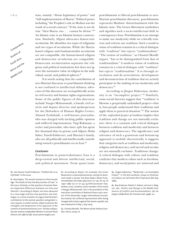

state, namely, "divine legitimacy of power" and "full implementation of Sharia." Political power including "the Prophet's rule in Medina was the result of a social contract." If the state is not divine "then Sharia, too, . . . cannot be divine."80 An Islamic state is an Islamist human construction. Similarly, Alijani advocates democratic secularism. He identifies two types of religiosity and two types of secularism. While the Shariabased religion and fundamentalist secularism are not compatible, the human-based religion and democratic secularism are compatible. Democratic secularization separates the religious and political institutions but does not ignore the normative value of religion in the individual, social, and political spheres.<sup>81</sup>

It is worth noting that the contribution of neo-Shariati discourse to post-Islamist thinking is not confined to intellectual debates; advocates of this discourse are sociopolitically active in civil society and human rights organizations. Some of the public figures of this discourse include Narges Mohammadi, a female civil activist and deputy director and spokesperson for the Defenders of Human Rights Center; Ahmad Zeidabadi, a well-known journalist, who was charged with inciting public opinion and suffered imprisonment; Taqi Rahmani, a writer and journalist, who since 1981 has spent five thousand days in prison; and Alijani, Hoda Saber, Yusefi-Eshkevari, and Shariati's family, who are all politically and intellectually contributing toward a post-Islamist era in Iran.82

## **Conclusion**

Post-Islamism in postrevolutionary Iran is a deep-rooted and diverse intellectual, social, and political movement. From quasi/semi-

80. See Hassan Yusefi-Eshkevari, "Faithful Life in an Urfi State" in this issue.

81. Reza Alijani, "Pre-secular Iranians in a Post-secular Age: The Death of God, the Resurrection of God," in this issue. Similarly, on the question of women there are important differences between our time and Shariati's. According to Alijani, we have advanced to a new stage and face new questions and challenges. In a series of works, he argues that Shariati's contribution to the women question and gender issues requires a careful revision. Alijani examines the strengths and weaknesses of his approach in the context of postrevolutionary Iran. See Reza Alijani, **Zan dar motone moghaddas (Women in Sacred Texts)** (Tehran, AH 1386/2008), www.zdmm.blogfa.com.

82. According to Alijani, for example, the Green Movement is a plural phenomenon, and yet its dominant mode is secular. See Reza Alijani, Mizan Press, mizankhabar.net/index.php/2010-01-09-16-05-16 /997-1389-03-12-01-44-43.html (accessed 1 September 2010). Another active member of this trend is Narges Mohammadi. She is the president of the executive committee of National Peace and a winner of the Alexander Langer International Foundation Award; she suffered imprisonment after being charged with actions against the Islamic republic and was released on Friday, 2 July 2009.

83. Chantal Mouffe, The Return of the Political (London: Verso, 2005), 16.

post-Islamism to liberal post-Islamism to neo-Shariati post-Islamist discourse, post-Islamism represents Muslims' disenchantment with the Islamic state. The Green Movement symbolizes and signifies such a socio-intellectual shift in contemporary Iran. Post-Islamism is an attempt to make our modernity while we critically reinvent and reform our tradition. Such a modern vision of tradition remains in a critical dialogue with "tradition" but rejects "traditionalism." "The notion of tradition," as Chantal Mouffe argues, "has to be distinguished from that of traditionalism." A modern vision of tradition remains in a critical dialogue with "tradition" but rejects "traditionalism." It is through articulation and de-articulation, development and deconstruction of tradition that we actively participate in the making of our modernity and democracy.83

According to Jürgen Habermas, modernity is an "incomplete project." 84 Similarly, some social theories suggest that "'tradition' is likewise a perpetually unfinished project—that is, how people understand their traditions and apply them to practical situation."85 The notion of the *unfinished project of tradition* implies that tradition and change are not mutually exclusive; there is a constant and critical dialogue between tradition and modernity and between religion and democracy. The significance and relevance of such a grassroots and bottom-up approach is twofold: theoretically, it suggests that categories such as tradition and modernity, religion and democracy, and sacred and secular are not mutually exclusive. Traditions change. A critical dialogue with culture and tradition confirms that modern values such as freedom, democracy, and social justice are universal and

> 84. Jürgen Habermas, "'Modernity-an Incomplete Project'," in The Anti-aesthetic: Essays on Postmodern Culture, ed. Hal Foster (Port Townsend, WA: Bay, 1983).

> 85. Roy Anderson, Robert F. Seibert, and Jon G. Wagner, eds., Politics and Change in the Middle East: Sources of Conflict and Accommodation, 5th ed. (Upper Saddle River, NJ: Prentice Hall, 1998), 122.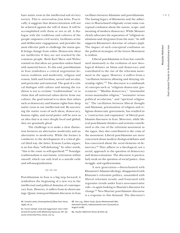have native roots in the intellectual soil of every society. This is *universalism from below*. Practically, it suggests that democratization will not be achieved against the will of *demos*. It will be accomplished with them or not at all. A dialogue with the traditions and cultures of the people empowers civil society, facilitates active and deliberative engagement, and provides the most effective path to challenge the status quo. It brings change from *within*. Democratic ideas are ineffective if they are not reached by the common people. Both Karl Marx and Weber remind us that ideas are powerless unless fused with material forces. To this end, post-Islamism in Iran symbolizes a critical negotiation between tradition and modernity, religion and reason, faith and freedom, sacred and secular, and particular and universal. The goal of a critical dialogue with culture and mining the tradition is not to reclaim "traditionalism" or to claim that all universal values derive from our culture; the goal instead is to show that values such as democracy and human rights have deep native roots in our intellectual soil. By uncovering the native roots of such ideas, democracy, human rights, and social justice will be seen as an idea that is at once deeply local and global; they are genuinely *glocal*.

The challenge is to make a clear distinction between an alternative modernity and an alternative to modernity. While the former is conducive to the development of a critical glocal third way, the latter, Ernesto Laclau argues, is no less than "self-defeating." In other words, "this is the route to self-apartheid."86 Nostalgic traditionalism is narcissistic retirement within oneself, which can only lead to a suicide exile and self-marginalization.

#### $+666 +666 +666$

Post-Islamism in Iran is a big step forward; it symbolizes the beginning of a new era in the intellectual and political domains of contemporary Iran. However, it suffers from its shortcomings. Quasi-/semi-post-Islamist discourse in Iran

87. Farzin Vahdat, God and Juggernaut: Iran's Intel*lectual Encounter with Modernity* (Syracuse, NY: Syracuse University Press, 2002), 213-14.

vacillates between Islamism and post-Islamism. The lasting legacy of Khomeini and the adherence to Sharia-based religiosity create some conceptual confusion about the nature, scope, and meaning of modern democracy. While Mousavi clearly advocates the separation of "religious institutions and clergymen from the state," he still supports Khomeini's doctrine of *velayat-e faqih*. The impact of such conceptual confusion on the political strategies of the Green Movement is evident.

Liberal post-Islamism in Iran has contributed immensely to the evolution of new theological debates on Islam and democracy and contributed to the rise of the reformist movement in the 1990s. However, it suffers from a "vacillation between allowing and denying citizenship rights."87 The discourse is a mishmash of concepts such as "religious democratic government," "Muslim democracy," "minimalist versus maximalist religion," "normative versus political secularism," and "spiritual religiosity." The vacillation between liberal thought and Islamism, privatization of religion and religious democratic government, has resulted in a "contraction and expansion" of liberal post-Islamist discourse in Iran. Moreover, while liberal post-Islamist thinkers and activists contributed to the rise of the reformist movement in the 1990s, they also contributed to the crisis of the movement. Liberal post-Islamists are more concerned about modern *theological* debates and less concerned about the *social* elements of democracy.88 They adhere to a theological, not a social, approach to the question of democracy and democratization. The discourse is particularly weak on the question of social justice, class struggle, and egalitarianism.

A new generation—disenchanted with Khomeini's Islamist ideology, disappointed with Khatami's reformist politics, unsatisfied with liberal reformist trends, and frustrated with regressive trends under Iran's neoconservative rule—is again looking to Shariati's discourse for change.89 Neo-Shariati post-Islamist discourse is a response to this demand. The discourse's

88. See, e.g., Akbar Ganji, Quran Mohammadi (Mu*hammad's Koran*), radiozamaaneh.com/ (accessed 20 August 2008).

89. Hunter, *Reformist Voices of Islam*, 56.

Mojtaba Mahdavi

<sup>86.</sup> Ernesto Laclau, *Emancipation(s)* (New York: Verso, 1996), 26, 32.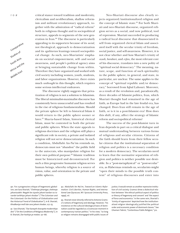Comparative  $\overline{\phantom{a}}$ Studies of sou and the South Asia, All die East

critical stance toward tradition and modernity, clericalism and neoliberalism, shallow reformism and militant revolutionary approach, together with the admiration of "radical reform" both in religious thought and in sociopolitical structure, appeals to segments of the new generation in Iran.<sup>90</sup> The discourse is particularly appealing to its supporters because of its *social*, not theological, approach to democratization and its *egalitarian* leanings toward sociopolitical change. As such, neo-Shariatists' emphasis on societal empowerment, self- and social awareness, and people's political agency aims at bringing sustainable change from within. Therefore they have organized and worked with civil society including women, youth, students, and labor organizations. However, there exists much *unthought* in this thought, which requires some serious intellectual endeavors.

The discourse rightly suggests that privatization of religion is not a solution to Islamism. The liberal minimalist-maximalist discourse has consistently been unsuccessful and has resulted in the rise of religious fundamentalism. Should the private sphere be left to historical Islam it would return to the public sphere sooner or later.91 Sharia-based Islam, historical clerical Islam, must be contested in both the private and public spheres. When the state appeals to religious doctrines and the religion still plays a significant role in society, a private and isolated religion will not serve democratization. In such a condition, Abdullahi An-Na'im reminds us, democrats must not "abandon" the public field to the autocrats, who manipulate religion for their own political purpose. $92$  Islamic tradition must be historicized and deconstructed. For such a thin progressive humanist religion serves human beings, whereby religion is a source of vision, value, and orientation in the private and public spheres.

Neo-Shariati discourse also clearly rejects organized/institutionalized religion and the concept of Islamic state.<sup>93</sup> For both Shariati and neo-Shariati discourse, organized religion serves as a social, and now political, tool of repression. Shariati succeeded in producing a radical local discourse that disassociated itself from organized clerical Islam and associated itself with the secular trinity of freedom, social justice, and self-awareness. However, it is not clear whether and how Shariati's trinity of *azadi*, *barabari*, and *erfan*, the most relevant core of his discourse, translates into a new polity of "spiritual social democracy." The meaning, nature, scope, and function of such spirituality in the public sphere, in general, and state, in particular, are unclear. The same applies to the concept of "spiritual republic and/or democracy," borrowed from Iqbal Lahouri. Moreover, as a result of the revolution and, paradoxically, three decades of Islamist politics, Iran, which Shariati thought had remained in the age of faith, as Europe had in the late feudal era, has changed. Does Iran still remain in the age of faith, or is it in a post-Islamist era? How does this shift, if any, affect the strategy of Islamic reform and sociopolitical reforms?

The success of the post-Islamist turn in Iran depends in part on a critical dialogue and mutual understanding between various forms of religious and secular citizens. Citizens of the faith should learn from their fellow secular citizens that the institutional separation of religion and politics is a necessary condition for a modern democracy. The secularists need to learn that the normative separation of religion and politics is neither possible nor desirable. In a "post-metaphysical" or "post-secular" era, as Habermas reminds us, secularists might "open their minds to the possible truth content" of religious discourses and enter into

go. For a progressive critique of hegemonic globalism, see Sara Shariati, "Chehreye jahanigar, chehreye jahanizadeh: Negahi be siyaste jahani kardan va ravande tarikhiye jahani shodan" ("The Colonizer and the Colonized: On the Politics of Globalization and the Historical Trend of Globalization"), in B. Shariati, Khodkaviye melli dar asre jahani shodan, 127-75.

91. Sara Shariati, "Dar bareyeh sharayete modernitiye dini" ("On the Conditions of Religious Modernity"), in B. Shariati, *Dar hashiye ye matan*, 131-66.

92. Abdullahi An-Na'im, Toward an Islamic Reformation: Civil Liberties, Human Rights, and International Law (Syracuse, NY: Syracuse University Press, 1999), xii.

93. Shariati never directly referred to Antonio Gramsci's notions of hegemony and ideology. However, "his insistence on the cultural/ideological basis of domination could be regarded as a Gramscian moment in contemporary Iranian politics." In his view, "so long as religion remains disengaged with public issues of justice, it would remain as another repressive institution of civil society. Gramsci drew a dialectical relation between 'the ethical-political aspect of politics or theory of hegemony and consent' and 'the aspect of force and economics.' In the same vein, Shariati's 'trinity of oppression' depicted how the institutionalized religion ideologically justified the political order and economic power of dominant classes." See Ghamari-Tabrizi, "Contentious Public Religion," 512.